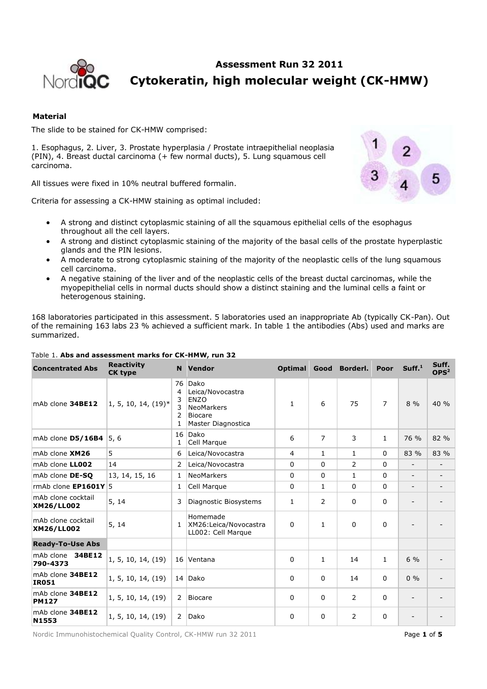

# **Assessment Run 32 2011 Cytokeratin, high molecular weight (CK-HMW)**

# **Material**

The slide to be stained for CK-HMW comprised:

1. Esophagus, 2. Liver, 3. Prostate hyperplasia / Prostate intraepithelial neoplasia (PIN), 4. Breast ductal carcinoma (+ few normal ducts), 5. Lung squamous cell carcinoma.

All tissues were fixed in 10% neutral buffered formalin.

Criteria for assessing a CK-HMW staining as optimal included:



- A strong and distinct cytoplasmic staining of all the squamous epithelial cells of the esophagus throughout all the cell layers.
- A strong and distinct cytoplasmic staining of the majority of the basal cells of the prostate hyperplastic glands and the PIN lesions.
- A moderate to strong cytoplasmic staining of the majority of the neoplastic cells of the lung squamous cell carcinoma.
- A negative staining of the liver and of the neoplastic cells of the breast ductal carcinomas, while the myopepithelial cells in normal ducts should show a distinct staining and the luminal cells a faint or heterogenous staining.

168 laboratories participated in this assessment. 5 laboratories used an inappropriate Ab (typically CK-Pan). Out of the remaining 163 labs 23 % achieved a sufficient mark. In table 1 the antibodies (Abs) used and marks are summarized.

| <b>Concentrated Abs</b>          | <b>Reactivity</b><br><b>CK type</b> |                             | N Vendor                                                                                             | <b>Optimal</b> | Good         | Borderl.       | Poor           | Suff. <sup>1</sup>       | Suff.<br>OPS <sup>2</sup> |
|----------------------------------|-------------------------------------|-----------------------------|------------------------------------------------------------------------------------------------------|----------------|--------------|----------------|----------------|--------------------------|---------------------------|
| mAb clone 34BE12                 | $1, 5, 10, 14, (19)^*$              | 76<br>4<br>3<br>3<br>2<br>1 | Dako<br>Leica/Novocastra<br><b>ENZO</b><br><b>NeoMarkers</b><br><b>Biocare</b><br>Master Diagnostica | $\mathbf{1}$   | 6            | 75             | $\overline{7}$ | $8\%$                    | 40%                       |
| mAb clone D5/16B4                | 5,6                                 | 16<br>1                     | Dako<br>Cell Marque                                                                                  | 6              | 7            | 3              | $\mathbf{1}$   | 76 %                     | 82 %                      |
| mAb clone XM26                   | 5                                   | 6                           | Leica/Novocastra                                                                                     | 4              | $\mathbf{1}$ | $\mathbf{1}$   | $\mathbf{0}$   | 83 %                     | 83 %                      |
| mAb clone LL002                  | 14                                  | $\overline{2}$              | Leica/Novocastra                                                                                     | 0              | 0            | $\overline{2}$ | 0              | $\overline{\phantom{0}}$ | $\overline{\phantom{0}}$  |
| mAb clone <b>DE-SO</b>           | 13, 14, 15, 16                      | $\mathbf{1}$                | <b>NeoMarkers</b>                                                                                    | 0              | $\mathbf{0}$ | $\mathbf{1}$   | 0              | $\overline{\phantom{a}}$ | $\overline{\phantom{a}}$  |
| rmAb clone $EPI601Y$ 5           |                                     | 1                           | Cell Marque                                                                                          | 0              | $\mathbf{1}$ | $\mathbf{0}$   | $\mathbf{0}$   | $\overline{\phantom{a}}$ | -                         |
| mAb clone cocktail<br>XM26/LL002 | 5, 14                               | 3                           | Diagnostic Biosystems                                                                                | 1              | 2            | $\Omega$       | $\mathbf{0}$   | $\overline{\phantom{0}}$ |                           |
| mAb clone cocktail<br>XM26/LL002 | 5, 14                               | $\mathbf{1}$                | Homemade<br>XM26:Leica/Novocastra<br>LL002: Cell Marque                                              | $\Omega$       | $\mathbf{1}$ | $\Omega$       | $\mathbf 0$    |                          |                           |
| <b>Ready-To-Use Abs</b>          |                                     |                             |                                                                                                      |                |              |                |                |                          |                           |
| mAb clone<br>34BE12<br>790-4373  | 1, 5, 10, 14, (19)                  |                             | 16 Ventana                                                                                           | 0              | 1            | 14             | $\mathbf{1}$   | $6\%$                    |                           |
| mAb clone 34BE12<br><b>IR051</b> | 1, 5, 10, 14, (19)                  |                             | 14 Dako                                                                                              | 0              | $\mathbf{0}$ | 14             | $\mathbf{0}$   | $0\%$                    |                           |
| mAb clone 34BE12<br><b>PM127</b> | 1, 5, 10, 14, (19)                  | $\overline{2}$              | <b>Biocare</b>                                                                                       | 0              | 0            | $\overline{2}$ | 0              | $\overline{\phantom{0}}$ |                           |
| mAb clone 34BE12<br>N1553        | 1, 5, 10, 14, (19)                  | $\overline{2}$              | Dako                                                                                                 | 0              | 0            | $\overline{2}$ | 0              | $\overline{\phantom{a}}$ |                           |

# Table 1. **Abs and assessment marks for CK-HMW, run 32**

Nordic Immunohistochemical Quality Control, CK-HMW run 32 2011 **Page 1 of 5** Page 1 of 5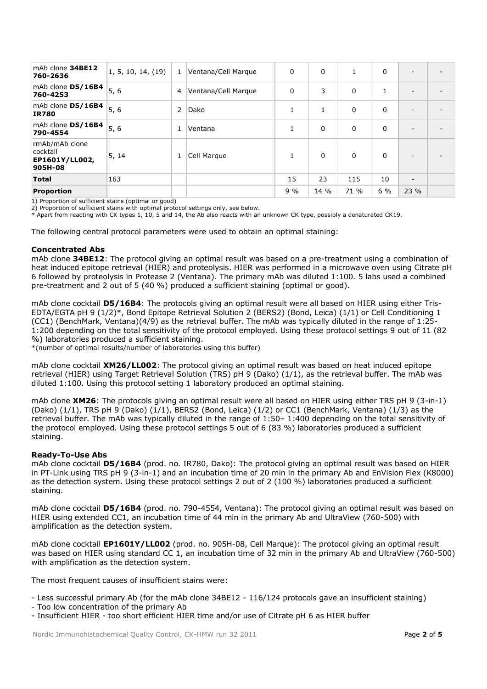| mAb clone 34BE12<br>760-2636                            | 1, 5, 10, 14, (19) | 1 | Ventana/Cell Marque | $\mathbf{0}$ | $\Omega$ | 1        | $\mathbf{0}$ | $\overline{\phantom{a}}$ |  |
|---------------------------------------------------------|--------------------|---|---------------------|--------------|----------|----------|--------------|--------------------------|--|
| mAb clone D5/16B4<br>760-4253                           | 5, 6               | 4 | Ventana/Cell Marque | $\Omega$     | 3        | $\Omega$ | 1            | $\overline{\phantom{0}}$ |  |
| mAb clone D5/16B4<br><b>IR780</b>                       | 5,6                | 2 | Dako                |              | 1        | $\Omega$ | 0            | $\overline{\phantom{0}}$ |  |
| mAb clone D5/16B4<br>790-4554                           | 5, 6               | 1 | Ventana             |              | 0        | $\Omega$ | $\mathbf 0$  | -                        |  |
| rmAb/mAb clone<br>cocktail<br>EP1601Y/LL002,<br>905H-08 | 5, 14              | 1 | Cell Marque         |              | $\Omega$ | $\Omega$ | $\Omega$     | $\overline{\phantom{a}}$ |  |
| <b>Total</b>                                            | 163                |   |                     | 15           | 23       | 115      | 10           | $\overline{\phantom{0}}$ |  |
| Proportion                                              |                    |   |                     | 9%           | 14 %     | 71 %     | $6\%$        | 23 %                     |  |

1) Proportion of sufficient stains (optimal or good)

2) Proportion of sufficient stains with optimal protocol settings only, see below.

\* Apart from reacting with CK types 1, 10, 5 and 14, the Ab also reacts with an unknown CK type, possibly a denaturated CK19.

The following central protocol parameters were used to obtain an optimal staining:

## **Concentrated Abs**

mAb clone **34BE12**: The protocol giving an optimal result was based on a pre-treatment using a combination of heat induced epitope retrieval (HIER) and proteolysis. HIER was performed in a microwave oven using Citrate pH 6 followed by proteolysis in Protease 2 (Ventana). The primary mAb was diluted 1:100. 5 labs used a combined pre-treatment and 2 out of 5 (40 %) produced a sufficient staining (optimal or good).

mAb clone cocktail **D5/16B4**: The protocols giving an optimal result were all based on HIER using either Tris-EDTA/EGTA pH 9 (1/2)\*, Bond Epitope Retrieval Solution 2 (BERS2) (Bond, Leica) (1/1) or Cell Conditioning 1 (CC1) (BenchMark, Ventana)(4/9) as the retrieval buffer. The mAb was typically diluted in the range of 1:25- 1:200 depending on the total sensitivity of the protocol employed. Using these protocol settings 9 out of 11 (82 %) laboratories produced a sufficient staining.

\*(number of optimal results/number of laboratories using this buffer)

mAb clone cocktail **XM26/LL002**: The protocol giving an optimal result was based on heat induced epitope retrieval (HIER) using Target Retrieval Solution (TRS) pH 9 (Dako) (1/1), as the retrieval buffer. The mAb was diluted 1:100. Using this protocol setting 1 laboratory produced an optimal staining.

mAb clone **XM26**: The protocols giving an optimal result were all based on HIER using either TRS pH 9 (3-in-1) (Dako) (1/1), TRS pH 9 (Dako) (1/1), BERS2 (Bond, Leica) (1/2) or CC1 (BenchMark, Ventana) (1/3) as the retrieval buffer. The mAb was typically diluted in the range of 1:50– 1:400 depending on the total sensitivity of the protocol employed. Using these protocol settings 5 out of 6 (83 %) laboratories produced a sufficient staining.

# **Ready-To-Use Abs**

mAb clone cocktail **D5/16B4** (prod. no. IR780, Dako): The protocol giving an optimal result was based on HIER in PT-Link using TRS pH 9 (3-in-1) and an incubation time of 20 min in the primary Ab and EnVision Flex (K8000) as the detection system. Using these protocol settings 2 out of 2 (100 %) laboratories produced a sufficient staining.

mAb clone cocktail **D5/16B4** (prod. no. 790-4554, Ventana): The protocol giving an optimal result was based on HIER using extended CC1, an incubation time of 44 min in the primary Ab and UltraView (760-500) with amplification as the detection system.

mAb clone cocktail **EP1601Y/LL002** (prod. no. 905H-08, Cell Marque): The protocol giving an optimal result was based on HIER using standard CC 1, an incubation time of 32 min in the primary Ab and UltraView (760-500) with amplification as the detection system.

The most frequent causes of insufficient stains were:

- Less successful primary Ab (for the mAb clone 34BE12 - 116/124 protocols gave an insufficient staining)

- Too low concentration of the primary Ab
- Insufficient HIER too short efficient HIER time and/or use of Citrate pH 6 as HIER buffer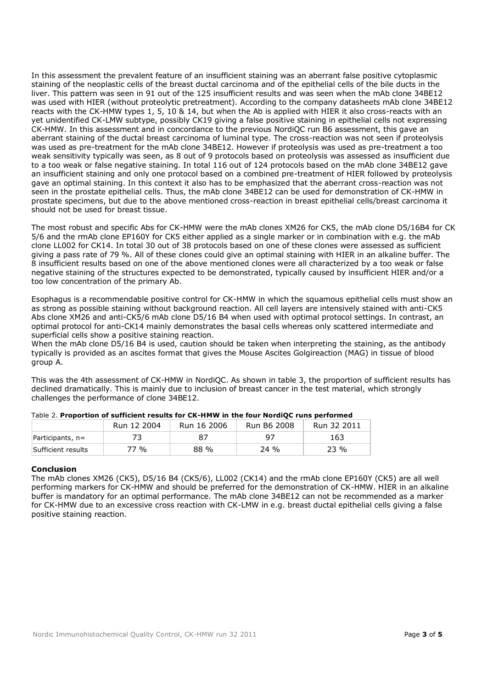In this assessment the prevalent feature of an insufficient staining was an aberrant false positive cytoplasmic staining of the neoplastic cells of the breast ductal carcinoma and of the epithelial cells of the bile ducts in the liver. This pattern was seen in 91 out of the 125 insufficient results and was seen when the mAb clone 34BE12 was used with HIER (without proteolytic pretreatment). According to the company datasheets mAb clone 34BE12 reacts with the CK-HMW types 1, 5, 10 & 14, but when the Ab is applied with HIER it also cross-reacts with an yet unidentified CK-LMW subtype, possibly CK19 giving a false positive staining in epithelial cells not expressing CK-HMW. In this assessment and in concordance to the previous NordiQC run B6 assessment, this gave an aberrant staining of the ductal breast carcinoma of luminal type. The cross-reaction was not seen if proteolysis was used as pre-treatment for the mAb clone 34BE12. However if proteolysis was used as pre-treatment a too weak sensitivity typically was seen, as 8 out of 9 protocols based on proteolysis was assessed as insufficient due to a too weak or false negative staining. In total 116 out of 124 protocols based on the mAb clone 34BE12 gave an insufficient staining and only one protocol based on a combined pre-treatment of HIER followed by proteolysis gave an optimal staining. In this context it also has to be emphasized that the aberrant cross-reaction was not seen in the prostate epithelial cells. Thus, the mAb clone 34BE12 can be used for demonstration of CK-HMW in prostate specimens, but due to the above mentioned cross-reaction in breast epithelial cells/breast carcinoma it should not be used for breast tissue.

The most robust and specific Abs for CK-HMW were the mAb clones XM26 for CK5, the mAb clone D5/16B4 for CK 5/6 and the rmAb clone EP160Y for CK5 either applied as a single marker or in combination with e.g. the mAb clone LL002 for CK14. In total 30 out of 38 protocols based on one of these clones were assessed as sufficient giving a pass rate of 79 %. All of these clones could give an optimal staining with HIER in an alkaline buffer. The 8 insufficient results based on one of the above mentioned clones were all characterized by a too weak or false negative staining of the structures expected to be demonstrated, typically caused by insufficient HIER and/or a too low concentration of the primary Ab.

Esophagus is a recommendable positive control for CK-HMW in which the squamous epithelial cells must show an as strong as possible staining without background reaction. All cell layers are intensively stained with anti-CK5 Abs clone XM26 and anti-CK5/6 mAb clone D5/16 B4 when used with optimal protocol settings. In contrast, an optimal protocol for anti-CK14 mainly demonstrates the basal cells whereas only scattered intermediate and superficial cells show a positive staining reaction.

When the mAb clone D5/16 B4 is used, caution should be taken when interpreting the staining, as the antibody typically is provided as an ascites format that gives the Mouse Ascites Golgireaction (MAG) in tissue of blood group A.

This was the 4th assessment of CK-HMW in NordiQC. As shown in table 3, the proportion of sufficient results has declined dramatically. This is mainly due to inclusion of breast cancer in the test material, which strongly challenges the performance of clone 34BE12.

|                    | Run 12 2004 | Run 16 2006 | Run B6 2008 | Run 32 2011 |
|--------------------|-------------|-------------|-------------|-------------|
| Participants, $n=$ |             |             | 97          | 163         |
| Sufficient results | 77 %        | 88 %        | $24\%$      | 23 %        |

# Table 2. **Proportion of sufficient results for CK-HMW in the four NordiQC runs performed**

## **Conclusion**

The mAb clones XM26 (CK5), D5/16 B4 (CK5/6), LL002 (CK14) and the rmAb clone EP160Y (CK5) are all well performing markers for CK-HMW and should be preferred for the demonstration of CK-HMW. HIER in an alkaline buffer is mandatory for an optimal performance. The mAb clone 34BE12 can not be recommended as a marker for CK-HMW due to an excessive cross reaction with CK-LMW in e.g. breast ductal epithelial cells giving a false positive staining reaction.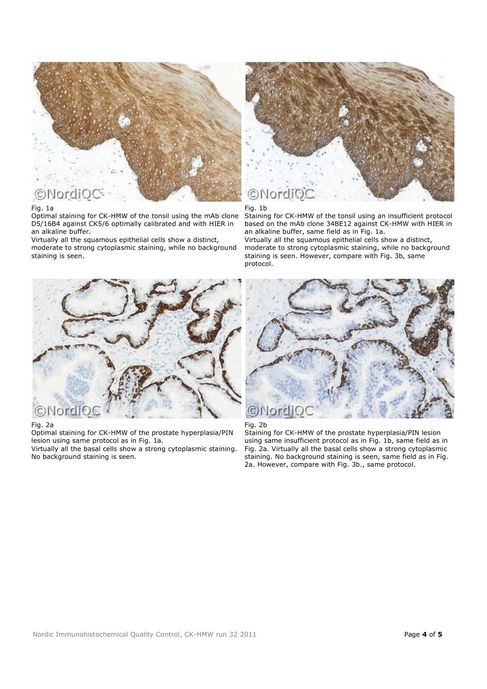

### Fig. 1a

Optimal staining for CK-HMW of the tonsil using the mAb clone D5/16B4 against CK5/6 optimally calibrated and with HIER in an alkaline buffer.

Virtually all the squamous epithelial cells show a distinct, moderate to strong cytoplasmic staining, while no background staining is seen.



## Fig. 1b

Staining for CK-HMW of the tonsil using an insufficient protocol based on the mAb clone 34BE12 against CK-HMW with HIER in an alkaline buffer, same field as in Fig. 1a.

Virtually all the squamous epithelial cells show a distinct, moderate to strong cytoplasmic staining, while no background staining is seen. However, compare with Fig. 3b, same protocol.



#### Fig. 2a

Optimal staining for CK-HMW of the prostate hyperplasia/PIN lesion using same protocol as in Fig. 1a.

Virtually all the basal cells show a strong cytoplasmic staining. No background staining is seen.



Fig. 2b

Staining for CK-HMW of the prostate hyperplasia/PIN lesion using same insufficient protocol as in Fig. 1b, same field as in Fig. 2a. Virtually all the basal cells show a strong cytoplasmic staining. No background staining is seen, same field as in Fig. 2a. However, compare with Fig. 3b., same protocol.